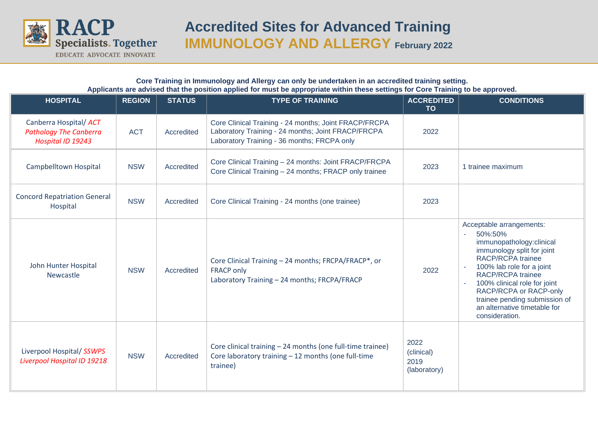

## **Accredited Sites for Advanced Training IMMUNOLOGY AND ALLERGY February 2022**

## **Core Training in Immunology and Allergy can only be undertaken in an accredited training setting. Applicants are advised that the position applied for must be appropriate within these settings for Core Training to be approved.**

| <b>HOSPITAL</b>                                                              | <b>REGION</b> | <b>STATUS</b> | <b>TYPE OF TRAINING</b>                                                                                                                                    | <b>ACCREDITED</b><br><b>TO</b>             | <b>CONDITIONS</b>                                                                                                                                                                                                                                                                                                        |
|------------------------------------------------------------------------------|---------------|---------------|------------------------------------------------------------------------------------------------------------------------------------------------------------|--------------------------------------------|--------------------------------------------------------------------------------------------------------------------------------------------------------------------------------------------------------------------------------------------------------------------------------------------------------------------------|
| Canberra Hospital/ ACT<br><b>Pathology The Canberra</b><br>Hospital ID 19243 | <b>ACT</b>    | Accredited    | Core Clinical Training - 24 months; Joint FRACP/FRCPA<br>Laboratory Training - 24 months; Joint FRACP/FRCPA<br>Laboratory Training - 36 months; FRCPA only | 2022                                       |                                                                                                                                                                                                                                                                                                                          |
| <b>Campbelltown Hospital</b>                                                 | <b>NSW</b>    | Accredited    | Core Clinical Training - 24 months: Joint FRACP/FRCPA<br>Core Clinical Training - 24 months; FRACP only trainee                                            | 2023                                       | 1 trainee maximum                                                                                                                                                                                                                                                                                                        |
| <b>Concord Repatriation General</b><br>Hospital                              | <b>NSW</b>    | Accredited    | Core Clinical Training - 24 months (one trainee)                                                                                                           | 2023                                       |                                                                                                                                                                                                                                                                                                                          |
| John Hunter Hospital<br>Newcastle                                            | <b>NSW</b>    | Accredited    | Core Clinical Training - 24 months; FRCPA/FRACP*, or<br><b>FRACP only</b><br>Laboratory Training - 24 months; FRCPA/FRACP                                  | 2022                                       | Acceptable arrangements:<br>50%:50%<br>immunopathology:clinical<br>immunology split for joint<br><b>RACP/RCPA trainee</b><br>100% lab role for a joint<br>RACP/RCPA trainee<br>100% clinical role for joint<br>RACP/RCPA or RACP-only<br>trainee pending submission of<br>an alternative timetable for<br>consideration. |
| Liverpool Hospital/ SSWPS<br>Liverpool Hospital ID 19218                     | <b>NSW</b>    | Accredited    | Core clinical training - 24 months (one full-time trainee)<br>Core laboratory training - 12 months (one full-time<br>trainee)                              | 2022<br>(clinical)<br>2019<br>(laboratory) |                                                                                                                                                                                                                                                                                                                          |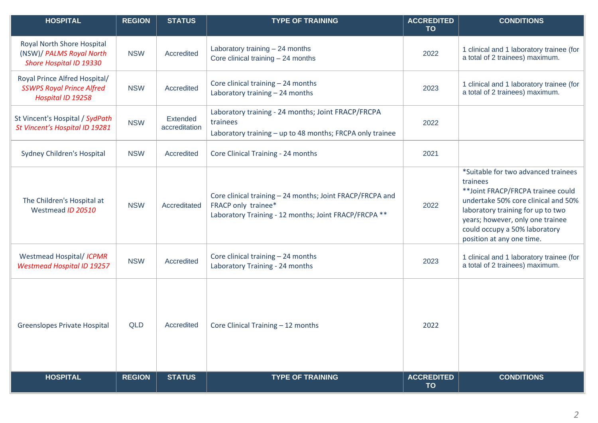| <b>HOSPITAL</b>                                                                        | <b>REGION</b> | <b>STATUS</b>             | <b>TYPE OF TRAINING</b>                                                                                                                   | <b>ACCREDITED</b><br><b>TO</b> | <b>CONDITIONS</b>                                                                                                                                                                                                                                                   |
|----------------------------------------------------------------------------------------|---------------|---------------------------|-------------------------------------------------------------------------------------------------------------------------------------------|--------------------------------|---------------------------------------------------------------------------------------------------------------------------------------------------------------------------------------------------------------------------------------------------------------------|
| Royal North Shore Hospital<br>(NSW)/ PALMS Royal North<br>Shore Hospital ID 19330      | <b>NSW</b>    | Accredited                | Laboratory training - 24 months<br>Core clinical training $-24$ months                                                                    | 2022                           | 1 clinical and 1 laboratory trainee (for<br>a total of 2 trainees) maximum.                                                                                                                                                                                         |
| Royal Prince Alfred Hospital/<br><b>SSWPS Royal Prince Alfred</b><br>Hospital ID 19258 | <b>NSW</b>    | Accredited                | Core clinical training - 24 months<br>Laboratory training - 24 months                                                                     | 2023                           | 1 clinical and 1 laboratory trainee (for<br>a total of 2 trainees) maximum.                                                                                                                                                                                         |
| St Vincent's Hospital / SydPath<br>St Vincent's Hospital ID 19281                      | <b>NSW</b>    | Extended<br>accreditation | Laboratory training - 24 months; Joint FRACP/FRCPA<br>trainees<br>Laboratory training - up to 48 months; FRCPA only trainee               | 2022                           |                                                                                                                                                                                                                                                                     |
| Sydney Children's Hospital                                                             | <b>NSW</b>    | Accredited                | Core Clinical Training - 24 months                                                                                                        | 2021                           |                                                                                                                                                                                                                                                                     |
| The Children's Hospital at<br>Westmead ID 20510                                        | <b>NSW</b>    | Accreditated              | Core clinical training - 24 months; Joint FRACP/FRCPA and<br>FRACP only trainee*<br>Laboratory Training - 12 months; Joint FRACP/FRCPA ** | 2022                           | *Suitable for two advanced trainees<br>trainees<br>** Joint FRACP/FRCPA trainee could<br>undertake 50% core clinical and 50%<br>laboratory training for up to two<br>years; however, only one trainee<br>could occupy a 50% laboratory<br>position at any one time. |
| Westmead Hospital/ ICPMR<br><b>Westmead Hospital ID 19257</b>                          | <b>NSW</b>    | Accredited                | Core clinical training - 24 months<br>Laboratory Training - 24 months                                                                     | 2023                           | 1 clinical and 1 laboratory trainee (for<br>a total of 2 trainees) maximum.                                                                                                                                                                                         |
| <b>Greenslopes Private Hospital</b>                                                    | <b>QLD</b>    | Accredited                | Core Clinical Training - 12 months                                                                                                        | 2022                           |                                                                                                                                                                                                                                                                     |
| <b>HOSPITAL</b>                                                                        | <b>REGION</b> | <b>STATUS</b>             | <b>TYPE OF TRAINING</b>                                                                                                                   | <b>ACCREDITED</b><br><b>TO</b> | <b>CONDITIONS</b>                                                                                                                                                                                                                                                   |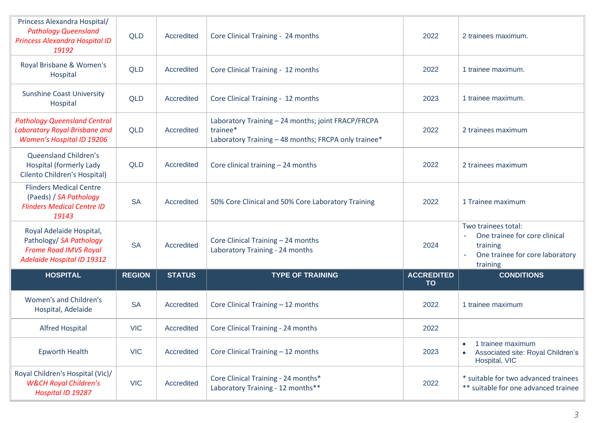| Princess Alexandra Hospital/<br><b>Pathology Queensland</b><br>Princess Alexandra Hospital ID<br>19192                   | <b>QLD</b>    | Accredited    | Core Clinical Training - 24 months                                                                                     | 2022                           | 2 trainees maximum.                                                                                             |
|--------------------------------------------------------------------------------------------------------------------------|---------------|---------------|------------------------------------------------------------------------------------------------------------------------|--------------------------------|-----------------------------------------------------------------------------------------------------------------|
| Royal Brisbane & Women's<br>Hospital                                                                                     | <b>QLD</b>    | Accredited    | Core Clinical Training - 12 months                                                                                     | 2022                           | 1 trainee maximum.                                                                                              |
| <b>Sunshine Coast University</b><br>Hospital                                                                             | <b>QLD</b>    | Accredited    | Core Clinical Training - 12 months                                                                                     | 2023                           | 1 trainee maximum.                                                                                              |
| <b>Pathology Queensland Central</b><br>Laboratory Royal Brisbane and<br>Women's Hospital ID 19206                        | <b>QLD</b>    | Accredited    | Laboratory Training - 24 months; joint FRACP/FRCPA<br>trainee*<br>Laboratory Training - 48 months; FRCPA only trainee* | 2022                           | 2 trainees maximum                                                                                              |
| Queensland Children's<br><b>Hospital (formerly Lady</b><br>Cilento Children's Hospital)                                  | <b>QLD</b>    | Accredited    | Core clinical training $-24$ months                                                                                    | 2022                           | 2 trainees maximum                                                                                              |
| <b>Flinders Medical Centre</b><br>(Paeds) / SA Pathology<br><b>Flinders Medical Centre ID</b><br>19143                   | <b>SA</b>     | Accredited    | 50% Core Clinical and 50% Core Laboratory Training                                                                     | 2022                           | 1 Trainee maximum                                                                                               |
| Royal Adelaide Hospital,<br>Pathology/ SA Pathology<br><b>Frome Road IMVS Royal</b><br><b>Adelaide Hospital ID 19312</b> | <b>SA</b>     | Accredited    | Core Clinical Training - 24 months<br>Laboratory Training - 24 months                                                  | 2024                           | Two trainees total:<br>One trainee for core clinical<br>training<br>One trainee for core laboratory<br>training |
| <b>HOSPITAL</b>                                                                                                          | <b>REGION</b> | <b>STATUS</b> | <b>TYPE OF TRAINING</b>                                                                                                | <b>ACCREDITED</b><br><b>TO</b> | <b>CONDITIONS</b>                                                                                               |
| Women's and Children's<br>Hospital, Adelaide                                                                             | <b>SA</b>     | Accredited    | Core Clinical Training - 12 months                                                                                     | 2022                           | 1 trainee maximum                                                                                               |
| <b>Alfred Hospital</b>                                                                                                   | <b>VIC</b>    | Accredited    | Core Clinical Training - 24 months                                                                                     | 2022                           |                                                                                                                 |
| <b>Epworth Health</b>                                                                                                    | <b>VIC</b>    | Accredited    | Core Clinical Training - 12 months                                                                                     | 2023                           | 1 trainee maximum<br>Associated site: Royal Children's<br>Hospital, VIC                                         |
| Royal Children's Hospital (Vic)/<br><b>W&amp;CH Royal Children's</b><br>Hospital ID 19287                                | <b>VIC</b>    | Accredited    | Core Clinical Training - 24 months*<br>Laboratory Training - 12 months**                                               | 2022                           | * suitable for two advanced trainees<br>** suitable for one advanced trainee                                    |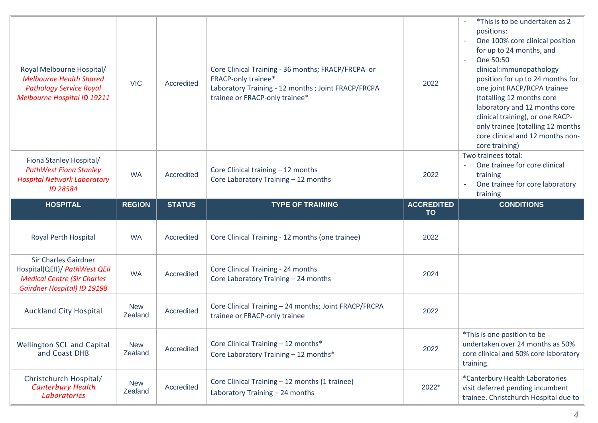| Royal Melbourne Hospital/<br><b>Melbourne Health Shared</b><br><b>Pathology Service Royal</b><br>Melbourne Hospital ID 19211             | <b>VIC</b>            | Accredited    | Core Clinical Training - 36 months; FRACP/FRCPA or<br><b>FRACP-only trainee*</b><br>Laboratory Training - 12 months ; Joint FRACP/FRCPA<br>trainee or FRACP-only trainee* | 2022                           | *This is to be undertaken as 2<br>positions:<br>One 100% core clinical position<br>for up to 24 months, and<br>One 50:50<br>clinical:immunopathology<br>position for up to 24 months for<br>one joint RACP/RCPA trainee<br>(totalling 12 months core<br>laboratory and 12 months core<br>clinical training), or one RACP-<br>only trainee (totalling 12 months<br>core clinical and 12 months non-<br>core training) |
|------------------------------------------------------------------------------------------------------------------------------------------|-----------------------|---------------|---------------------------------------------------------------------------------------------------------------------------------------------------------------------------|--------------------------------|----------------------------------------------------------------------------------------------------------------------------------------------------------------------------------------------------------------------------------------------------------------------------------------------------------------------------------------------------------------------------------------------------------------------|
| Fiona Stanley Hospital/<br><b>PathWest Fiona Stanley</b><br><b>Hospital Network Laboratory</b><br>ID 28584                               | <b>WA</b>             | Accredited    | Core Clinical training - 12 months<br>Core Laboratory Training - 12 months                                                                                                | 2022                           | Two trainees total:<br>One trainee for core clinical<br>training<br>One trainee for core laboratory<br>training                                                                                                                                                                                                                                                                                                      |
| <b>HOSPITAL</b>                                                                                                                          | <b>REGION</b>         | <b>STATUS</b> | <b>TYPE OF TRAINING</b>                                                                                                                                                   | <b>ACCREDITED</b><br><b>TO</b> | <b>CONDITIONS</b>                                                                                                                                                                                                                                                                                                                                                                                                    |
|                                                                                                                                          |                       |               |                                                                                                                                                                           |                                |                                                                                                                                                                                                                                                                                                                                                                                                                      |
| Royal Perth Hospital                                                                                                                     | <b>WA</b>             | Accredited    | Core Clinical Training - 12 months (one trainee)                                                                                                                          | 2022                           |                                                                                                                                                                                                                                                                                                                                                                                                                      |
| <b>Sir Charles Gairdner</b><br>Hospital(QEII)/ PathWest QEII<br><b>Medical Centre (Sir Charles</b><br><b>Gairdner Hospital) ID 19198</b> | <b>WA</b>             | Accredited    | Core Clinical Training - 24 months<br>Core Laboratory Training - 24 months                                                                                                | 2024                           |                                                                                                                                                                                                                                                                                                                                                                                                                      |
| <b>Auckland City Hospital</b>                                                                                                            | <b>New</b><br>Zealand | Accredited    | Core Clinical Training - 24 months; Joint FRACP/FRCPA<br>trainee or FRACP-only trainee                                                                                    | 2022                           |                                                                                                                                                                                                                                                                                                                                                                                                                      |
| Wellington SCL and Capital<br>and Coast DHB                                                                                              | <b>New</b><br>Zealand | Accredited    | Core Clinical Training - 12 months*<br>Core Laboratory Training - 12 months*                                                                                              | 2022                           | *This is one position to be<br>undertaken over 24 months as 50%<br>core clinical and 50% core laboratory<br>training.                                                                                                                                                                                                                                                                                                |